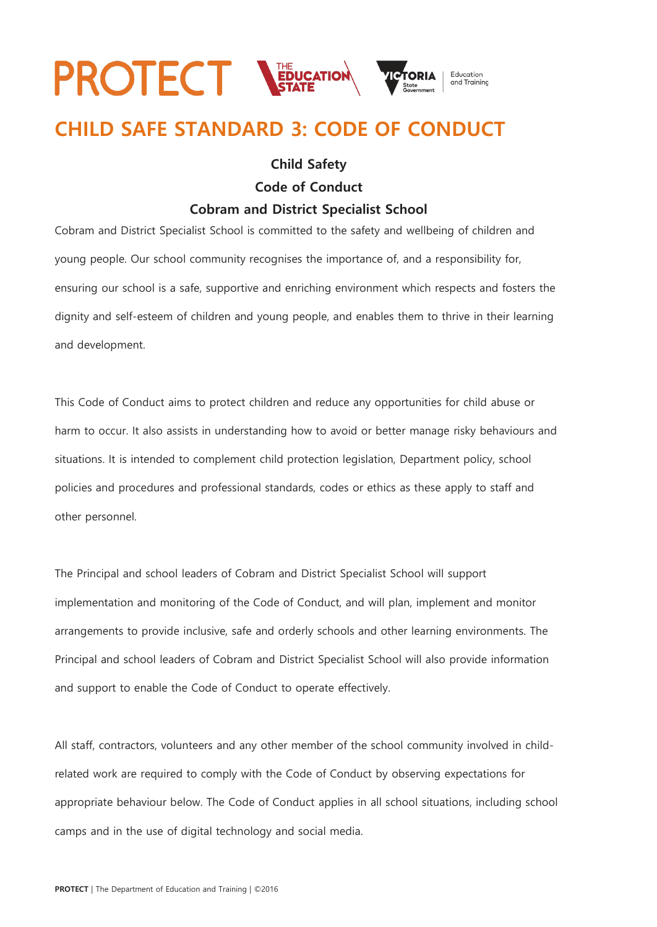# **PROTECT NEDUCATION** Education

## **CHILD SAFE STANDARD 3: CODE OF CONDUCT**

### **Child Safety**

**Code of Conduct**

### **Cobram and District Specialist School**

Cobram and District Specialist School is committed to the safety and wellbeing of children and young people. Our school community recognises the importance of, and a responsibility for, ensuring our school is a safe, supportive and enriching environment which respects and fosters the dignity and self-esteem of children and young people, and enables them to thrive in their learning and development.

This Code of Conduct aims to protect children and reduce any opportunities for child abuse or harm to occur. It also assists in understanding how to avoid or better manage risky behaviours and situations. It is intended to complement child protection legislation, Department policy, school policies and procedures and professional standards, codes or ethics as these apply to staff and other personnel.

The Principal and school leaders of Cobram and District Specialist School will support implementation and monitoring of the Code of Conduct, and will plan, implement and monitor arrangements to provide inclusive, safe and orderly schools and other learning environments. The Principal and school leaders of Cobram and District Specialist School will also provide information and support to enable the Code of Conduct to operate effectively.

All staff, contractors, volunteers and any other member of the school community involved in childrelated work are required to comply with the Code of Conduct by observing expectations for appropriate behaviour below. The Code of Conduct applies in all school situations, including school camps and in the use of digital technology and social media.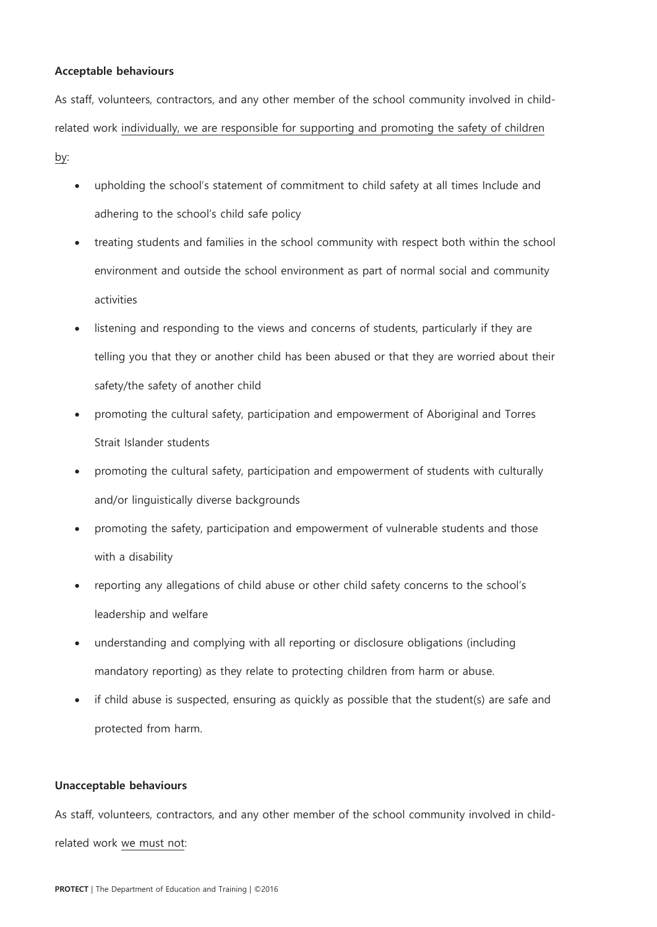#### **Acceptable behaviours**

As staff, volunteers, contractors, and any other member of the school community involved in childrelated work individually, we are responsible for supporting and promoting the safety of children by:

- upholding the school's statement of commitment to child safety at all times Include and adhering to the school's child safe policy
- treating students and families in the school community with respect both within the school environment and outside the school environment as part of normal social and community activities
- listening and responding to the views and concerns of students, particularly if they are telling you that they or another child has been abused or that they are worried about their safety/the safety of another child
- promoting the cultural safety, participation and empowerment of Aboriginal and Torres Strait Islander students
- promoting the cultural safety, participation and empowerment of students with culturally and/or linguistically diverse backgrounds
- promoting the safety, participation and empowerment of vulnerable students and those with a disability
- reporting any allegations of child abuse or other child safety concerns to the school's leadership and welfare
- understanding and complying with all reporting or disclosure obligations (including mandatory reporting) as they relate to protecting children from harm or abuse.
- if child abuse is suspected, ensuring as quickly as possible that the student(s) are safe and protected from harm.

#### **Unacceptable behaviours**

As staff, volunteers, contractors, and any other member of the school community involved in childrelated work we must not: